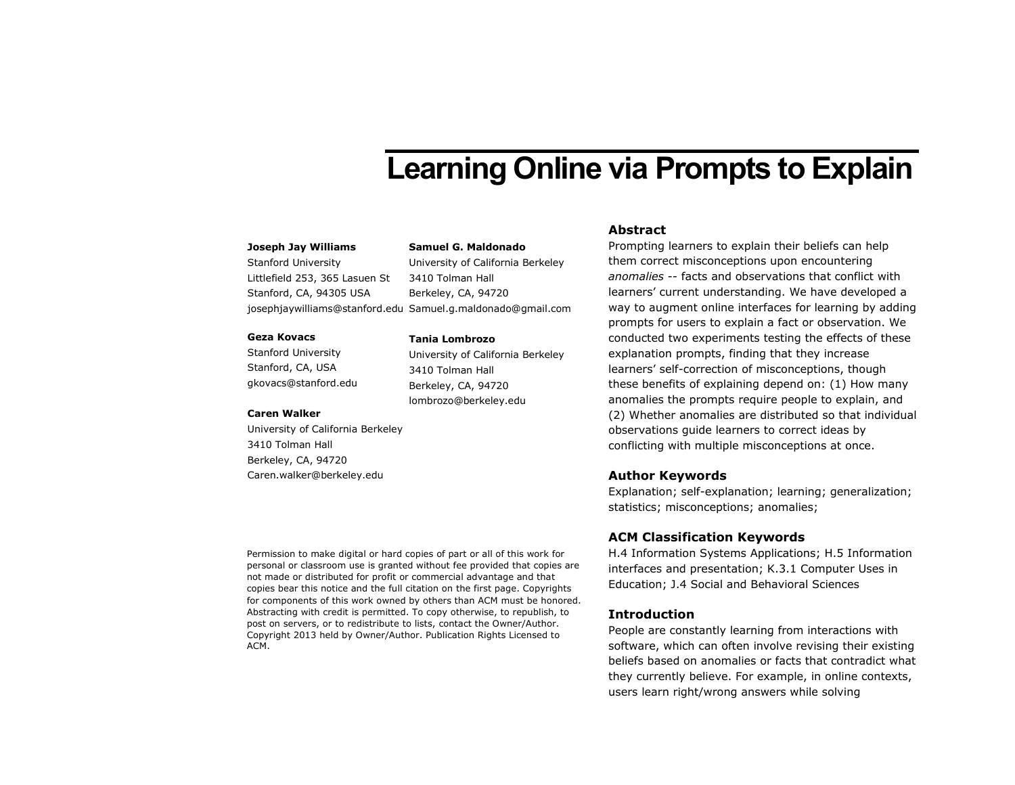# **Learning Online via Prompts to Explain**

#### **Joseph Jay Williams**

Stanford University Littlefield 253, 365 Lasuen St Stanford, CA, 94305 USA

#### **Geza Kovacs**

Stanford University Stanford, CA, USA gkovacs@stanford.edu

## **Caren Walker**

University of California Berkeley 3410 Tolman Hall Berkeley, CA, 94720 Caren.walker@berkeley.edu

#### **Samuel G. Maldonado**

josephjaywilliams@stanford.edu Samuel.g.maldonado@gmail.com University of California Berkeley 3410 Tolman Hall Berkeley, CA, 94720

#### **Tania Lombrozo**

University of California Berkeley 3410 Tolman Hall Berkeley, CA, 94720 lombrozo@berkeley.edu

#### **Abstract**

Prompting learners to explain their beliefs can help them correct misconceptions upon encountering *anomalies* -- facts and observations that conflict with learners' current understanding. We have developed a way to augment online interfaces for learning by adding prompts for users to explain a fact or observation. We conducted two experiments testing the effects of these explanation prompts, finding that they increase learners' self-correction of misconceptions, though these benefits of explaining depend on: (1) How many anomalies the prompts require people to explain, and (2) Whether anomalies are distributed so that individual observations guide learners to correct ideas by conflicting with multiple misconceptions at once.

# **Author Keywords**

Explanation; self-explanation; learning; generalization; statistics; misconceptions; anomalies;

# **ACM Classification Keywords**

H.4 Information Systems Applications; H.5 Information interfaces and presentation; K.3.1 Computer Uses in Education; J.4 Social and Behavioral Sciences

## **Introduction**

People are constantly learning from interactions with software, which can often involve revising their existing beliefs based on anomalies or facts that contradict what they currently believe. For example, in online contexts, users learn right/wrong answers while solving

Permission to make digital or hard copies of part or all of this work for personal or classroom use is granted without fee provided that copies are not made or distributed for profit or commercial advantage and that copies bear this notice and the full citation on the first page. Copyrights for components of this work owned by others than ACM must be honored. Abstracting with credit is permitted. To copy otherwise, to republish, to post on servers, or to redistribute to lists, contact the Owner/Author. Copyright 2013 held by Owner/Author. Publication Rights Licensed to ACM.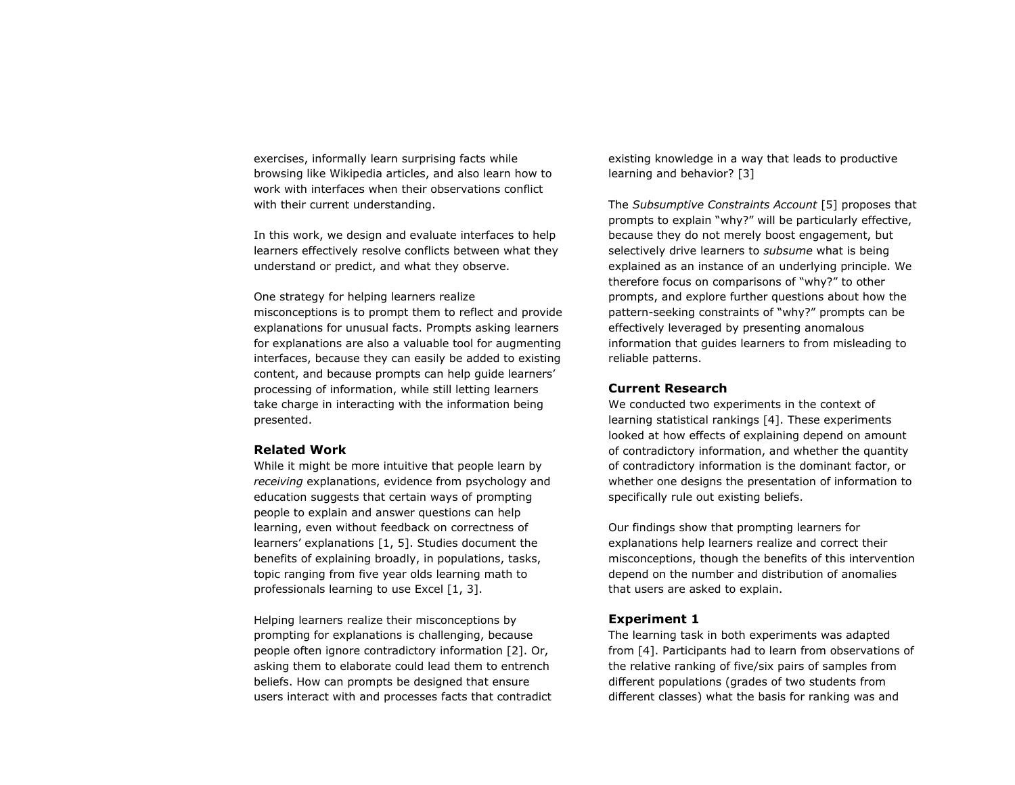exercises, informally learn surprising facts while browsing like Wikipedia articles, and also learn how to work with interfaces when their observations conflict with their current understanding.

In this work, we design and evaluate interfaces to help learners effectively resolve conflicts between what they understand or predict, and what they observe.

One strategy for helping learners realize misconceptions is to prompt them to reflect and provide explanations for unusual facts. Prompts asking learners for explanations are also a valuable tool for augmenting interfaces, because they can easily be added to existing content, and because prompts can help guide learners' processing of information, while still letting learners take charge in interacting with the information being presented.

## **Related Work**

While it might be more intuitive that people learn by *receiving* explanations, evidence from psychology and education suggests that certain ways of prompting people to explain and answer questions can help learning, even without feedback on correctness of learners' explanations [1, 5]. Studies document the benefits of explaining broadly, in populations, tasks, topic ranging from five year olds learning math to professionals learning to use Excel [1, 3].

Helping learners realize their misconceptions by prompting for explanations is challenging, because people often ignore contradictory information [2]. Or, asking them to elaborate could lead them to entrench beliefs. How can prompts be designed that ensure users interact with and processes facts that contradict existing knowledge in a way that leads to productive learning and behavior? [3]

The *Subsumptive Constraints Account* [5] proposes that prompts to explain "why?" will be particularly effective, because they do not merely boost engagement, but selectively drive learners to *subsume* what is being explained as an instance of an underlying principle. We therefore focus on comparisons of "why?" to other prompts, and explore further questions about how the pattern-seeking constraints of "why?" prompts can be effectively leveraged by presenting anomalous information that guides learners to from misleading to reliable patterns.

# **Current Research**

We conducted two experiments in the context of learning statistical rankings [4]. These experiments looked at how effects of explaining depend on amount of contradictory information, and whether the quantity of contradictory information is the dominant factor, or whether one designs the presentation of information to specifically rule out existing beliefs.

Our findings show that prompting learners for explanations help learners realize and correct their misconceptions, though the benefits of this intervention depend on the number and distribution of anomalies that users are asked to explain.

# **Experiment 1**

The learning task in both experiments was adapted from [4]. Participants had to learn from observations of the relative ranking of five/six pairs of samples from different populations (grades of two students from different classes) what the basis for ranking was and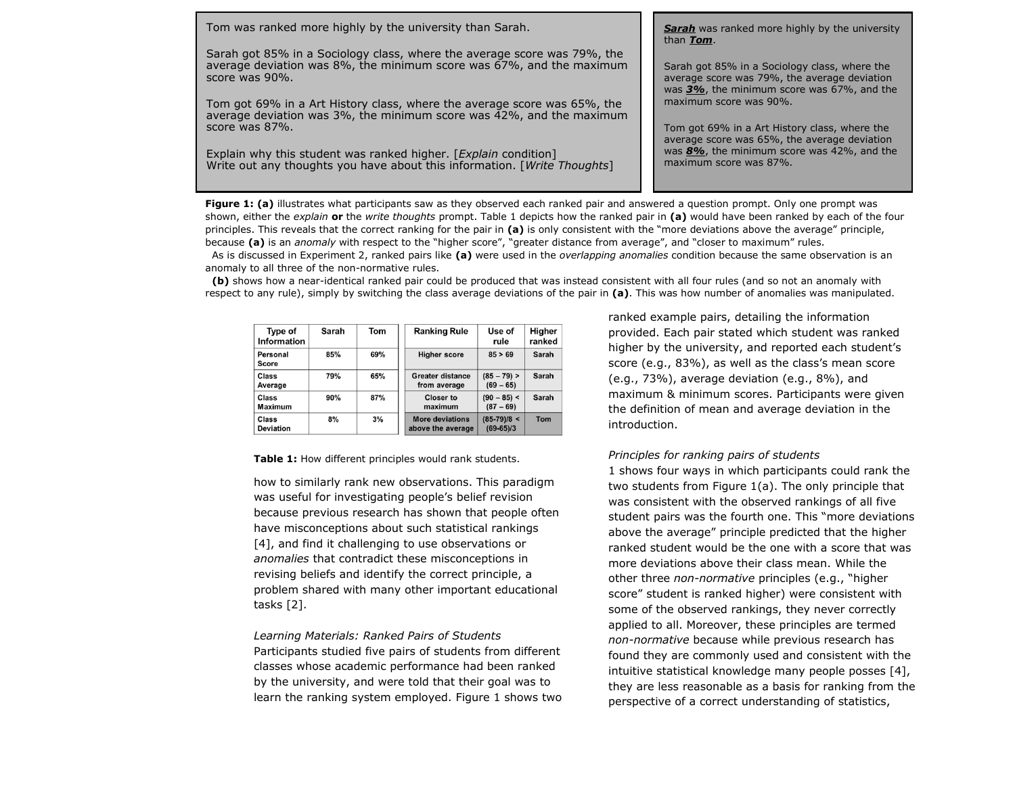Tom was ranked more highly by the university than Sarah.

Sarah got 85% in a Sociology class, where the average score was 79%, the average deviation was 8%, the minimum score was 67%, and the maximum score was 90%.

Tom got 69% in a Art History class, where the average score was 65%, the average deviation was 3%, the minimum score was 42%, and the maximum score was 87%.

Explain why this student was ranked higher. [*Explain* condition] Write out any thoughts you have about this information. [*Write Thoughts*] *Sarah* was ranked more highly by the university than *Tom*.

Sarah got 85% in a Sociology class, where the average score was 79%, the average deviation was *3%*, the minimum score was 67%, and the maximum score was 90%.

Tom got 69% in a Art History class, where the average score was 65%, the average deviation was *8%*, the minimum score was 42%, and the maximum score was 87%.

**Figure 1: (a)** illustrates what participants saw as they observed each ranked pair and answered a question prompt. Only one prompt was shown, either the *explain* **or** the *write thoughts* prompt. Table 1 depicts how the ranked pair in **(a)** would have been ranked by each of the four principles. This reveals that the correct ranking for the pair in **(a)** is only consistent with the "more deviations above the average" principle, because **(a)** is an *anomaly* with respect to the "higher score", "greater distance from average", and "closer to maximum" rules.

 As is discussed in Experiment 2, ranked pairs like **(a)** were used in the *overlapping anomalies* condition because the same observation is an anomaly to all three of the non-normative rules.

 **(b)** shows how a near-identical ranked pair could be produced that was instead consistent with all four rules (and so not an anomaly with respect to any rule), simply by switching the class average deviations of the pair in **(a)**. This was how number of anomalies was manipulated.

| Type of<br>Information    | Sarah | Tom | <b>Ranking Rule</b>                         | Use of<br>rule               | Higher<br>ranked |
|---------------------------|-------|-----|---------------------------------------------|------------------------------|------------------|
| Personal<br>Score         | 85%   | 69% | <b>Higher score</b>                         | 85 > 69                      | Sarah            |
| Class<br>Average          | 79%   | 65% | <b>Greater distance</b><br>from average     | $(85 - 79) >$<br>$(69 - 65)$ | Sarah            |
| <b>Class</b><br>Maximum   | 90%   | 87% | <b>Closer to</b><br>maximum                 | $(90 - 85) <$<br>$(87 - 69)$ | Sarah            |
| Class<br><b>Deviation</b> | 8%    | 3%  | <b>More deviations</b><br>above the average | $(85-79)/8 <$<br>$(69-65)/3$ | <b>Tom</b>       |

**Table 1:** How different principles would rank students.

how to similarly rank new observations. This paradigm was useful for investigating people's belief revision because previous research has shown that people often have misconceptions about such statistical rankings [4], and find it challenging to use observations or *anomalies* that contradict these misconceptions in revising beliefs and identify the correct principle, a problem shared with many other important educational tasks [2].

*Learning Materials: Ranked Pairs of Students* Participants studied five pairs of students from different classes whose academic performance had been ranked by the university, and were told that their goal was to learn the ranking system employed. Figure 1 shows two ranked example pairs, detailing the information provided. Each pair stated which student was ranked higher by the university, and reported each student's score (e.g., 83%), as well as the class's mean score (e.g., 73%), average deviation (e.g., 8%), and maximum & minimum scores. Participants were given the definition of mean and average deviation in the introduction.

## *Principles for ranking pairs of students*

1 shows four ways in which participants could rank the two students from Figure 1(a). The only principle that was consistent with the observed rankings of all five student pairs was the fourth one. This "more deviations above the average" principle predicted that the higher ranked student would be the one with a score that was more deviations above their class mean. While the other three *non-normative* principles (e.g., "higher score" student is ranked higher) were consistent with some of the observed rankings, they never correctly applied to all. Moreover, these principles are termed *non-normative* because while previous research has found they are commonly used and consistent with the intuitive statistical knowledge many people posses [4], they are less reasonable as a basis for ranking from the perspective of a correct understanding of statistics,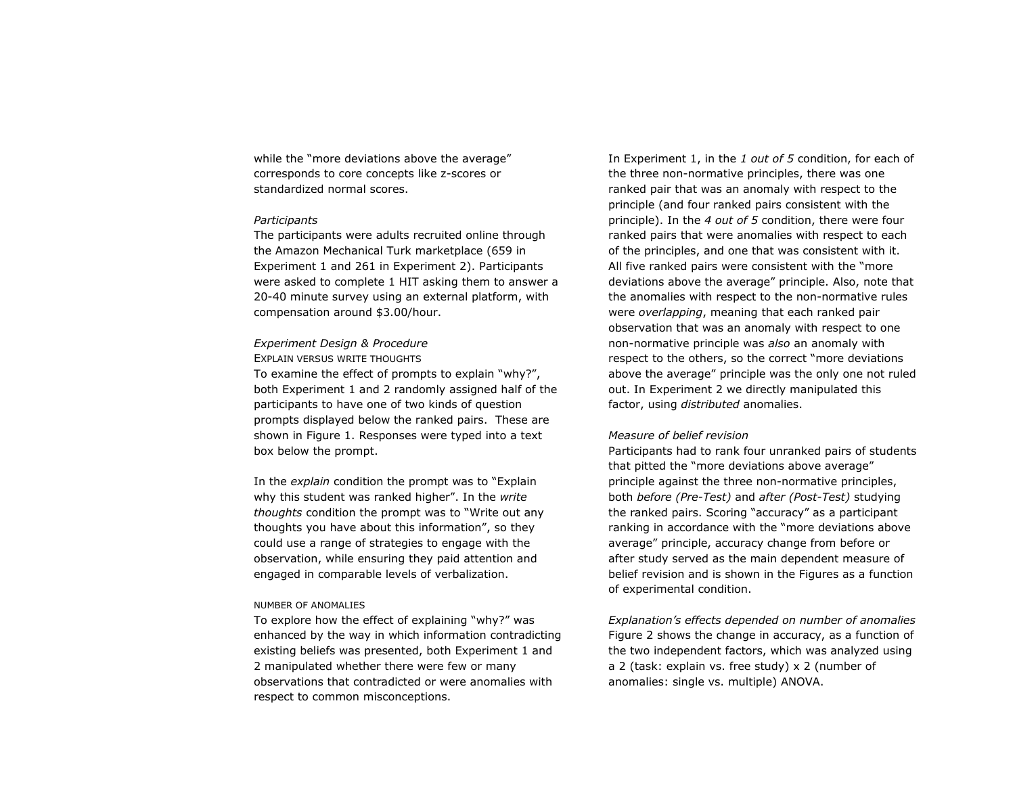while the "more deviations above the average" corresponds to core concepts like z-scores or standardized normal scores.

#### *Participants*

The participants were adults recruited online through the Amazon Mechanical Turk marketplace (659 in Experiment 1 and 261 in Experiment 2). Participants were asked to complete 1 HIT asking them to answer a 20-40 minute survey using an external platform, with compensation around \$3.00/hour.

## *Experiment Design & Procedure*

EXPLAIN VERSUS WRITE THOUGHTS

To examine the effect of prompts to explain "why?", both Experiment 1 and 2 randomly assigned half of the participants to have one of two kinds of question prompts displayed below the ranked pairs. These are shown in Figure 1. Responses were typed into a text box below the prompt.

In the *explain* condition the prompt was to "Explain why this student was ranked higher". In the *write thoughts* condition the prompt was to "Write out any thoughts you have about this information", so they could use a range of strategies to engage with the observation, while ensuring they paid attention and engaged in comparable levels of verbalization.

## NUMBER OF ANOMALIES

To explore how the effect of explaining "why?" was enhanced by the way in which information contradicting existing beliefs was presented, both Experiment 1 and 2 manipulated whether there were few or many observations that contradicted or were anomalies with respect to common misconceptions.

In Experiment 1, in the *1 out of 5* condition, for each of the three non-normative principles, there was one ranked pair that was an anomaly with respect to the principle (and four ranked pairs consistent with the principle). In the *4 out of 5* condition, there were four ranked pairs that were anomalies with respect to each of the principles, and one that was consistent with it. All five ranked pairs were consistent with the "more deviations above the average" principle. Also, note that the anomalies with respect to the non-normative rules were *overlapping*, meaning that each ranked pair observation that was an anomaly with respect to one non-normative principle was *also* an anomaly with respect to the others, so the correct "more deviations above the average" principle was the only one not ruled out. In Experiment 2 we directly manipulated this factor, using *distributed* anomalies.

# *Measure of belief revision*

Participants had to rank four unranked pairs of students that pitted the "more deviations above average" principle against the three non-normative principles, both *before (Pre-Test)* and *after (Post-Test)* studying the ranked pairs. Scoring "accuracy" as a participant ranking in accordance with the "more deviations above average" principle, accuracy change from before or after study served as the main dependent measure of belief revision and is shown in the Figures as a function of experimental condition.

*Explanation's effects depended on number of anomalies* Figure 2 shows the change in accuracy, as a function of the two independent factors, which was analyzed using a 2 (task: explain vs. free study) x 2 (number of anomalies: single vs. multiple) ANOVA.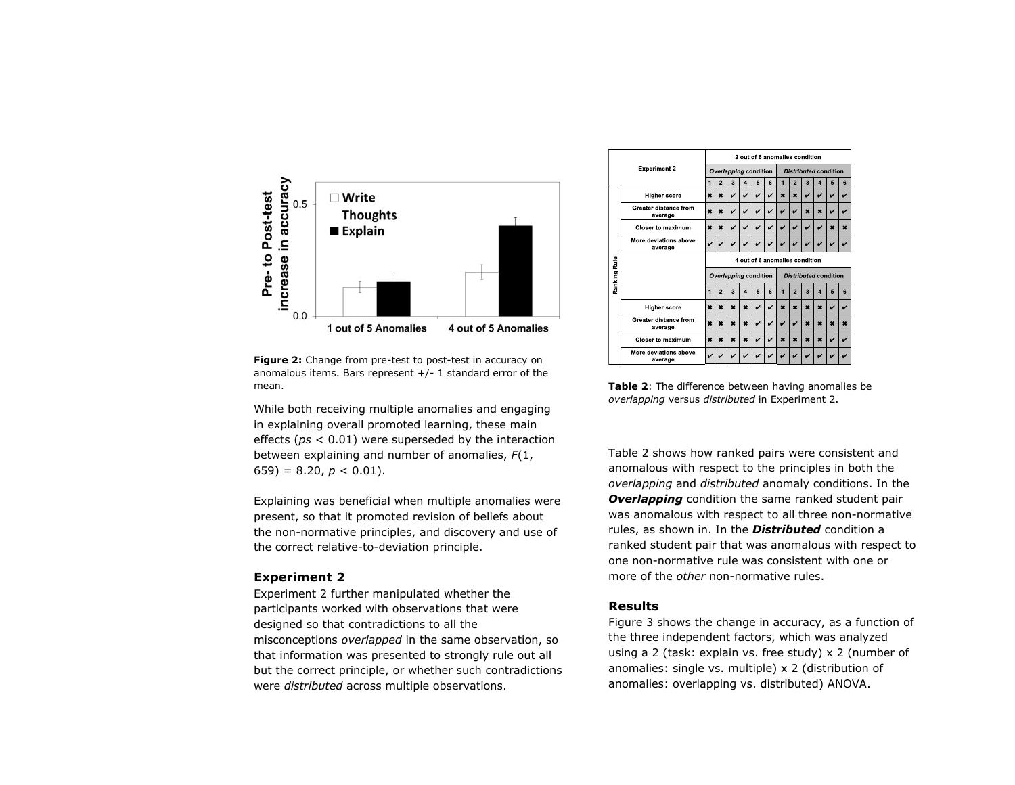

**Figure 2:** Change from pre-test to post-test in accuracy on anomalous items. Bars represent  $+/$ - 1 standard error of the mean.

While both receiving multiple anomalies and engaging in explaining overall promoted learning, these main effects (*ps* < 0.01) were superseded by the interaction between explaining and number of anomalies, *F*(1, 659) = 8.20,  $p < 0.01$ ).

Explaining was beneficial when multiple anomalies were present, so that it promoted revision of beliefs about the non-normative principles, and discovery and use of the correct relative-to-deviation principle.

# **Experiment 2**

Experiment 2 further manipulated whether the participants worked with observations that were designed so that contradictions to all the misconceptions *overlapped* in the same observation, so that information was presented to strongly rule out all but the correct principle, or whether such contradictions were *distributed* across multiple observations.

| <b>Experiment 2</b> |                                         | 2 out of 6 anomalies condition |                       |                         |                         |              |                              |                              |                    |                     |                           |              |             |
|---------------------|-----------------------------------------|--------------------------------|-----------------------|-------------------------|-------------------------|--------------|------------------------------|------------------------------|--------------------|---------------------|---------------------------|--------------|-------------|
|                     |                                         | Overlapping condition          |                       |                         |                         |              |                              | <b>Distributed condition</b> |                    |                     |                           |              |             |
|                     |                                         | 1                              | $\overline{2}$        | 3                       | $\overline{\bf{4}}$     | 5            | 6                            | $\blacktriangleleft$         | $\overline{2}$     | 3                   | $\overline{\mathbf{A}}$   | 5            | 6           |
| am wing Kue         | <b>Higher score</b>                     |                                | $\mathbf x$           | $\overline{\mathbf{v}}$ | $\mathbf{v}$            | v            | v                            | $\mathbf x$                  | $\mathbf x$        | v                   | v                         | v            | v           |
|                     | <b>Greater distance from</b><br>average |                                | $\mathbf x$           | $\checkmark$            | $\mathbf{v}$            | $\mathbf{v}$ | v                            | v                            | $\boldsymbol{\nu}$ | $\mathbf{x}$        | $\mathbf x$               | v            | v           |
|                     | <b>Closer to maximum</b>                |                                | $\star$               | $\checkmark$            | $\mathbf{v}$            | v            | v                            | v                            | $\mathbf{v}$       | $\mathbf{v}$        | ✓                         | $\mathbf x$  | $\mathbf x$ |
|                     | More deviations above<br>average        |                                | ✓                     |                         | $\overline{\mathbf{r}}$ | J            |                              |                              |                    |                     |                           |              |             |
|                     |                                         | 4 out of 6 anomalies condition |                       |                         |                         |              |                              |                              |                    |                     |                           |              |             |
|                     |                                         |                                | Overlapping condition |                         |                         |              | <b>Distributed condition</b> |                              |                    |                     |                           |              |             |
|                     |                                         | 1                              | $\overline{2}$        | 3                       | 4                       | 5            | 6                            | 1                            | $\overline{2}$     | 3                   | $\overline{a}$            | 5            | 6           |
|                     | <b>Higher score</b>                     | $\boldsymbol{\ast}$            | $\star$               | $\star$                 | $\boldsymbol{\ast}$     | v            | v                            | $\boldsymbol{\ast}$          | $\pmb{x}$          | $\boldsymbol{\ast}$ | $\boldsymbol{\mathsf{x}}$ | v            | v           |
|                     | <b>Greater distance from</b><br>average | $\mathbf{x}$                   | $\mathbf x$           | $\mathbf x$             | $\mathbf{x}$            | $\mathbf{v}$ | $\mathbf{v}$                 | v                            | v                  | $\mathbf{x}$        | $\mathbf{x}$              | $\mathbf{x}$ | $\mathbf x$ |
|                     | <b>Closer to maximum</b>                | $\mathbf{x}$                   | $\star$               | $\mathbf x$             | $\mathbf{x}$            | v            | v                            | $\mathbf x$                  | $\mathbf{x}$       | $\mathbf{x}$        | $\mathbf{x}$              | v            | v           |
|                     | <b>More deviations above</b><br>average | ✓                              |                       |                         |                         |              |                              |                              |                    |                     |                           |              |             |

**Table 2**: The difference between having anomalies be *overlapping* versus *distributed* in Experiment 2.

Table 2 shows how ranked pairs were consistent and anomalous with respect to the principles in both the *overlapping* and *distributed* anomaly conditions. In the *Overlapping* condition the same ranked student pair was anomalous with respect to all three non-normative rules, as shown in. In the *Distributed* condition a ranked student pair that was anomalous with respect to one non-normative rule was consistent with one or more of the *other* non-normative rules.

# **Results**

Figure 3 shows the change in accuracy, as a function of the three independent factors, which was analyzed using a 2 (task: explain vs. free study) x 2 (number of anomalies: single vs. multiple) x 2 (distribution of anomalies: overlapping vs. distributed) ANOVA.